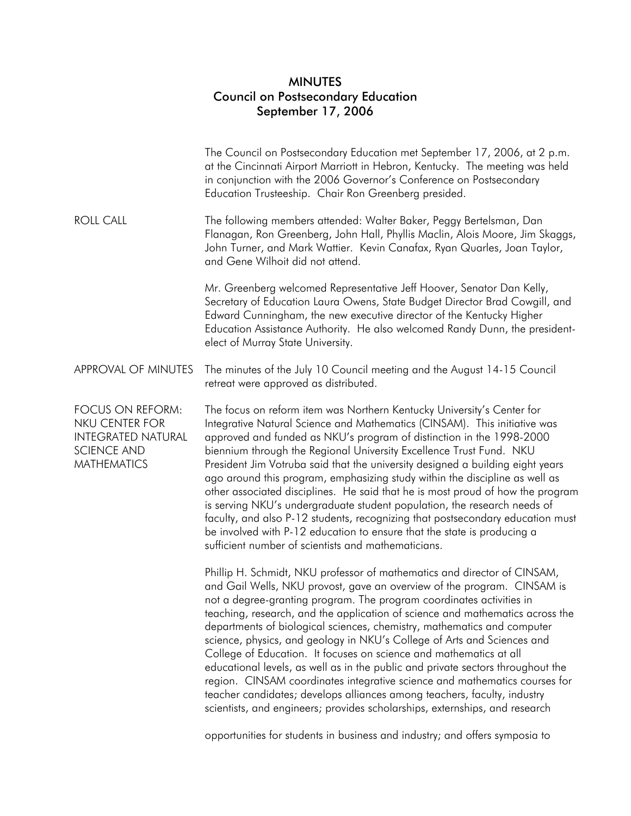## MINUTES Council on Postsecondary Education September 17, 2006

| The Council on Postsecondary Education met September 17, 2006, at 2 p.m.<br>at the Cincinnati Airport Marriott in Hebron, Kentucky. The meeting was held<br>in conjunction with the 2006 Governor's Conference on Postsecondary<br>Education Trusteeship. Chair Ron Greenberg presided.                                                                                                                                                                                                                                                                                                                                                                                                                                                                                                                                                                              |
|----------------------------------------------------------------------------------------------------------------------------------------------------------------------------------------------------------------------------------------------------------------------------------------------------------------------------------------------------------------------------------------------------------------------------------------------------------------------------------------------------------------------------------------------------------------------------------------------------------------------------------------------------------------------------------------------------------------------------------------------------------------------------------------------------------------------------------------------------------------------|
| The following members attended: Walter Baker, Peggy Bertelsman, Dan<br>Flanagan, Ron Greenberg, John Hall, Phyllis Maclin, Alois Moore, Jim Skaggs,<br>John Turner, and Mark Wattier. Kevin Canafax, Ryan Quarles, Joan Taylor,<br>and Gene Wilhoit did not attend.                                                                                                                                                                                                                                                                                                                                                                                                                                                                                                                                                                                                  |
| Mr. Greenberg welcomed Representative Jeff Hoover, Senator Dan Kelly,<br>Secretary of Education Laura Owens, State Budget Director Brad Cowgill, and<br>Edward Cunningham, the new executive director of the Kentucky Higher<br>Education Assistance Authority. He also welcomed Randy Dunn, the president-<br>elect of Murray State University.                                                                                                                                                                                                                                                                                                                                                                                                                                                                                                                     |
| The minutes of the July 10 Council meeting and the August 14-15 Council<br>retreat were approved as distributed.                                                                                                                                                                                                                                                                                                                                                                                                                                                                                                                                                                                                                                                                                                                                                     |
| The focus on reform item was Northern Kentucky University's Center for<br>Integrative Natural Science and Mathematics (CINSAM). This initiative was<br>approved and funded as NKU's program of distinction in the 1998-2000<br>biennium through the Regional University Excellence Trust Fund. NKU<br>President Jim Votruba said that the university designed a building eight years<br>ago around this program, emphasizing study within the discipline as well as<br>other associated disciplines. He said that he is most proud of how the program<br>is serving NKU's undergraduate student population, the research needs of<br>faculty, and also P-12 students, recognizing that postsecondary education must<br>be involved with P-12 education to ensure that the state is producing a<br>sufficient number of scientists and mathematicians.                |
| Phillip H. Schmidt, NKU professor of mathematics and director of CINSAM,<br>and Gail Wells, NKU provost, gave an overview of the program. CINSAM is<br>not a degree-granting program. The program coordinates activities in<br>teaching, research, and the application of science and mathematics across the<br>departments of biological sciences, chemistry, mathematics and computer<br>science, physics, and geology in NKU's College of Arts and Sciences and<br>College of Education. It focuses on science and mathematics at all<br>educational levels, as well as in the public and private sectors throughout the<br>region. CINSAM coordinates integrative science and mathematics courses for<br>teacher candidates; develops alliances among teachers, faculty, industry<br>scientists, and engineers; provides scholarships, externships, and research |
|                                                                                                                                                                                                                                                                                                                                                                                                                                                                                                                                                                                                                                                                                                                                                                                                                                                                      |

opportunities for students in business and industry; and offers symposia to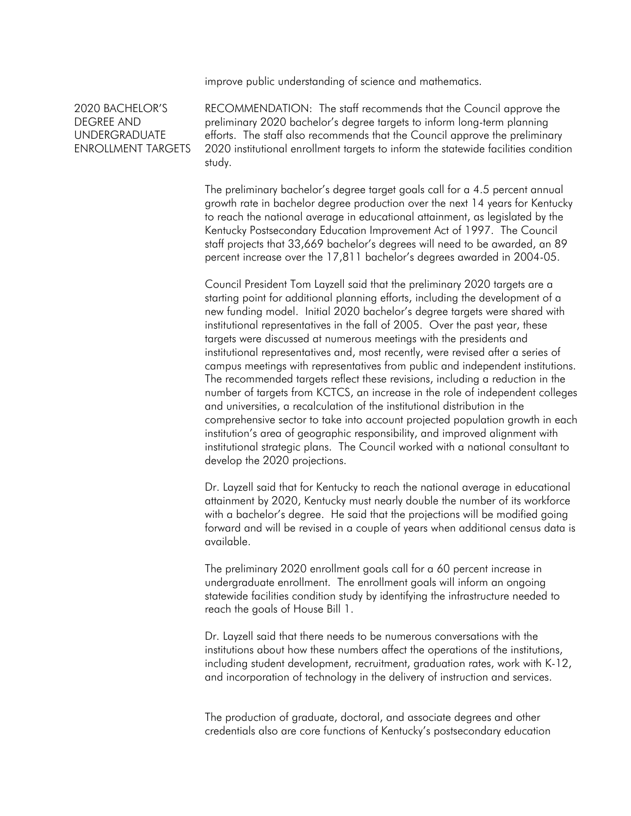improve public understanding of science and mathematics.

## 2020 BACHELOR'S DEGREE AND UNDERGRADUATE ENROLLMENT TARGETS

RECOMMENDATION: The staff recommends that the Council approve the preliminary 2020 bachelor's degree targets to inform long-term planning efforts. The staff also recommends that the Council approve the preliminary 2020 institutional enrollment targets to inform the statewide facilities condition study.

The preliminary bachelor's degree target goals call for a 4.5 percent annual growth rate in bachelor degree production over the next 14 years for Kentucky to reach the national average in educational attainment, as legislated by the Kentucky Postsecondary Education Improvement Act of 1997. The Council staff projects that 33,669 bachelor's degrees will need to be awarded, an 89 percent increase over the 17,811 bachelor's degrees awarded in 2004-05.

Council President Tom Layzell said that the preliminary 2020 targets are a starting point for additional planning efforts, including the development of a new funding model. Initial 2020 bachelor's degree targets were shared with institutional representatives in the fall of 2005. Over the past year, these targets were discussed at numerous meetings with the presidents and institutional representatives and, most recently, were revised after a series of campus meetings with representatives from public and independent institutions. The recommended targets reflect these revisions, including a reduction in the number of targets from KCTCS, an increase in the role of independent colleges and universities, a recalculation of the institutional distribution in the comprehensive sector to take into account projected population growth in each institution's area of geographic responsibility, and improved alignment with institutional strategic plans. The Council worked with a national consultant to develop the 2020 projections.

Dr. Layzell said that for Kentucky to reach the national average in educational attainment by 2020, Kentucky must nearly double the number of its workforce with a bachelor's degree. He said that the projections will be modified going forward and will be revised in a couple of years when additional census data is available.

The preliminary 2020 enrollment goals call for a 60 percent increase in undergraduate enrollment. The enrollment goals will inform an ongoing statewide facilities condition study by identifying the infrastructure needed to reach the goals of House Bill 1.

Dr. Layzell said that there needs to be numerous conversations with the institutions about how these numbers affect the operations of the institutions, including student development, recruitment, graduation rates, work with K-12, and incorporation of technology in the delivery of instruction and services.

The production of graduate, doctoral, and associate degrees and other credentials also are core functions of Kentucky's postsecondary education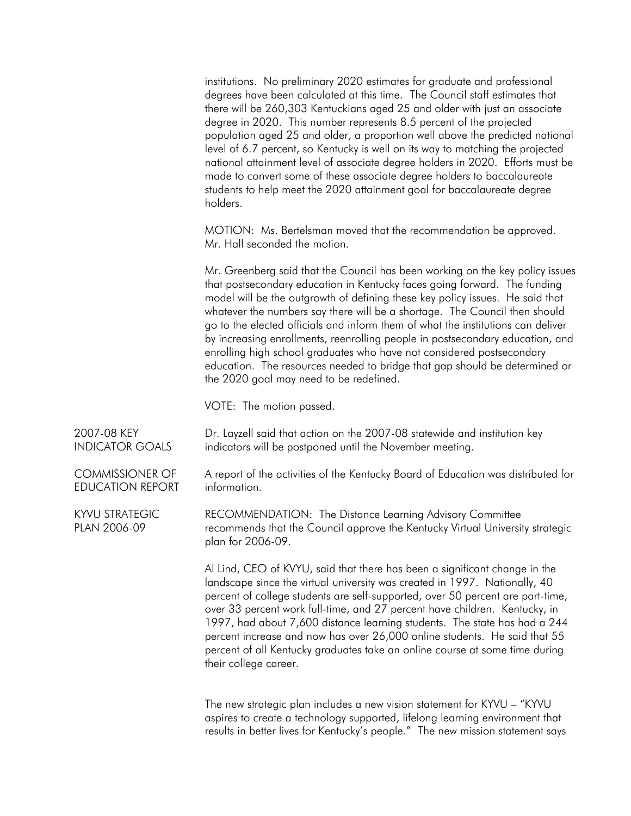institutions. No preliminary 2020 estimates for graduate and professional degrees have been calculated at this time. The Council staff estimates that there will be 260,303 Kentuckians aged 25 and older with just an associate degree in 2020. This number represents 8.5 percent of the projected population aged 25 and older, a proportion well above the predicted national level of 6.7 percent, so Kentucky is well on its way to matching the projected national attainment level of associate degree holders in 2020. Efforts must be made to convert some of these associate degree holders to baccalaureate students to help meet the 2020 attainment goal for baccalaureate degree holders.

MOTION: Ms. Bertelsman moved that the recommendation be approved. Mr. Hall seconded the motion.

Mr. Greenberg said that the Council has been working on the key policy issues that postsecondary education in Kentucky faces going forward. The funding model will be the outgrowth of defining these key policy issues. He said that whatever the numbers say there will be a shortage. The Council then should go to the elected officials and inform them of what the institutions can deliver by increasing enrollments, reenrolling people in postsecondary education, and enrolling high school graduates who have not considered postsecondary education. The resources needed to bridge that gap should be determined or the 2020 goal may need to be redefined.

VOTE: The motion passed.

| 2007-08 KEY<br><b>INDICATOR GOALS</b>             | Dr. Layzell said that action on the 2007-08 statewide and institution key<br>indicators will be postponed until the November meeting.                                                                                                                                                                                                                                                                                                                                                                                                                                                      |
|---------------------------------------------------|--------------------------------------------------------------------------------------------------------------------------------------------------------------------------------------------------------------------------------------------------------------------------------------------------------------------------------------------------------------------------------------------------------------------------------------------------------------------------------------------------------------------------------------------------------------------------------------------|
| <b>COMMISSIONER OF</b><br><b>EDUCATION REPORT</b> | A report of the activities of the Kentucky Board of Education was distributed for<br>information.                                                                                                                                                                                                                                                                                                                                                                                                                                                                                          |
| <b>KYVU STRATEGIC</b><br>PLAN 2006-09             | RECOMMENDATION: The Distance Learning Advisory Committee<br>recommends that the Council approve the Kentucky Virtual University strategic<br>plan for 2006-09.                                                                                                                                                                                                                                                                                                                                                                                                                             |
|                                                   | Al Lind, CEO of KVYU, said that there has been a significant change in the<br>landscape since the virtual university was created in 1997. Nationally, 40<br>percent of college students are self-supported, over 50 percent are part-time,<br>over 33 percent work full-time, and 27 percent have children. Kentucky, in<br>1997, had about 7,600 distance learning students. The state has had a 244<br>percent increase and now has over 26,000 online students. He said that 55<br>percent of all Kentucky graduates take an online course at some time during<br>their college career. |
|                                                   | The new strategic plan includes a new vision statement for KYVU - "KYVU<br>copiese to create a technology supported lifeleng learning environment that                                                                                                                                                                                                                                                                                                                                                                                                                                     |

aspires to create a technology supported, lifelong learning environment that results in better lives for Kentucky's people." The new mission statement says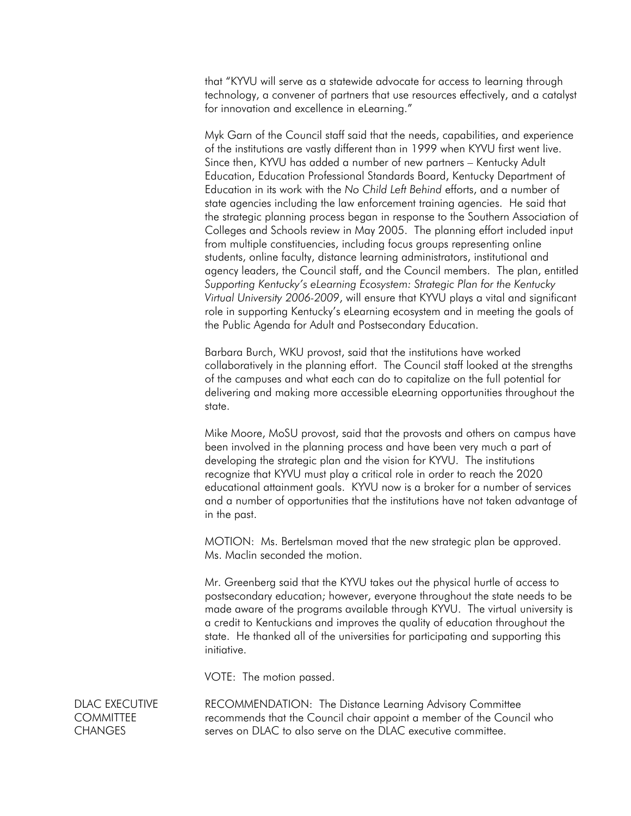that "KYVU will serve as a statewide advocate for access to learning through technology, a convener of partners that use resources effectively, and a catalyst for innovation and excellence in eLearning."

Myk Garn of the Council staff said that the needs, capabilities, and experience of the institutions are vastly different than in 1999 when KYVU first went live. Since then, KYVU has added a number of new partners – Kentucky Adult Education, Education Professional Standards Board, Kentucky Department of Education in its work with the *No Child Left Behind* efforts, and a number of state agencies including the law enforcement training agencies. He said that the strategic planning process began in response to the Southern Association of Colleges and Schools review in May 2005. The planning effort included input from multiple constituencies, including focus groups representing online students, online faculty, distance learning administrators, institutional and agency leaders, the Council staff, and the Council members. The plan, entitled *Supporting Kentucky's eLearning Ecosystem: Strategic Plan for the Kentucky Virtual University 2006-2009*, will ensure that KYVU plays a vital and significant role in supporting Kentucky's eLearning ecosystem and in meeting the goals of the Public Agenda for Adult and Postsecondary Education.

Barbara Burch, WKU provost, said that the institutions have worked collaboratively in the planning effort. The Council staff looked at the strengths of the campuses and what each can do to capitalize on the full potential for delivering and making more accessible eLearning opportunities throughout the state.

Mike Moore, MoSU provost, said that the provosts and others on campus have been involved in the planning process and have been very much a part of developing the strategic plan and the vision for KYVU. The institutions recognize that KYVU must play a critical role in order to reach the 2020 educational attainment goals. KYVU now is a broker for a number of services and a number of opportunities that the institutions have not taken advantage of in the past.

MOTION: Ms. Bertelsman moved that the new strategic plan be approved. Ms. Maclin seconded the motion.

Mr. Greenberg said that the KYVU takes out the physical hurtle of access to postsecondary education; however, everyone throughout the state needs to be made aware of the programs available through KYVU. The virtual university is a credit to Kentuckians and improves the quality of education throughout the state. He thanked all of the universities for participating and supporting this initiative.

VOTE: The motion passed.

DLAC EXECUTIVE **COMMITTEE CHANGES** 

RECOMMENDATION: The Distance Learning Advisory Committee recommends that the Council chair appoint a member of the Council who serves on DLAC to also serve on the DLAC executive committee.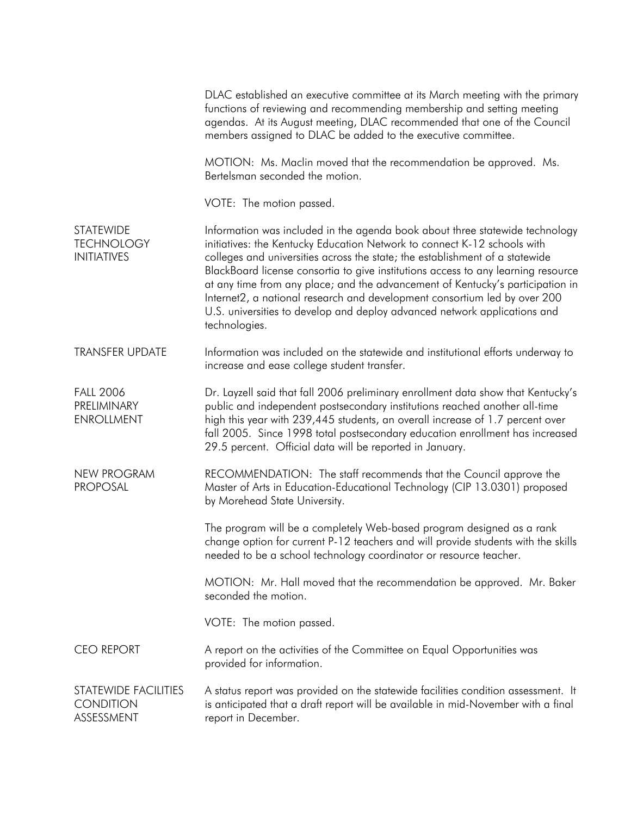|                                                             | DLAC established an executive committee at its March meeting with the primary<br>functions of reviewing and recommending membership and setting meeting<br>agendas. At its August meeting, DLAC recommended that one of the Council<br>members assigned to DLAC be added to the executive committee.                                                                                                                                                                                                                                                                                       |
|-------------------------------------------------------------|--------------------------------------------------------------------------------------------------------------------------------------------------------------------------------------------------------------------------------------------------------------------------------------------------------------------------------------------------------------------------------------------------------------------------------------------------------------------------------------------------------------------------------------------------------------------------------------------|
|                                                             | MOTION: Ms. Maclin moved that the recommendation be approved. Ms.<br>Bertelsman seconded the motion.                                                                                                                                                                                                                                                                                                                                                                                                                                                                                       |
|                                                             | VOTE: The motion passed.                                                                                                                                                                                                                                                                                                                                                                                                                                                                                                                                                                   |
| <b>STATEWIDE</b><br><b>TECHNOLOGY</b><br><b>INITIATIVES</b> | Information was included in the agenda book about three statewide technology<br>initiatives: the Kentucky Education Network to connect K-12 schools with<br>colleges and universities across the state; the establishment of a statewide<br>BlackBoard license consortia to give institutions access to any learning resource<br>at any time from any place; and the advancement of Kentucky's participation in<br>Internet2, a national research and development consortium led by over 200<br>U.S. universities to develop and deploy advanced network applications and<br>technologies. |
| <b>TRANSFER UPDATE</b>                                      | Information was included on the statewide and institutional efforts underway to<br>increase and ease college student transfer.                                                                                                                                                                                                                                                                                                                                                                                                                                                             |
| <b>FALL 2006</b><br>PRELIMINARY<br><b>ENROLLMENT</b>        | Dr. Layzell said that fall 2006 preliminary enrollment data show that Kentucky's<br>public and independent postsecondary institutions reached another all-time<br>high this year with 239,445 students, an overall increase of 1.7 percent over<br>fall 2005. Since 1998 total postsecondary education enrollment has increased<br>29.5 percent. Official data will be reported in January.                                                                                                                                                                                                |
| <b>NEW PROGRAM</b><br><b>PROPOSAL</b>                       | RECOMMENDATION: The staff recommends that the Council approve the<br>Master of Arts in Education-Educational Technology (CIP 13.0301) proposed<br>by Morehead State University.                                                                                                                                                                                                                                                                                                                                                                                                            |
|                                                             | The program will be a completely Web-based program designed as a rank<br>change option for current P-12 teachers and will provide students with the skills<br>needed to be a school technology coordinator or resource teacher.                                                                                                                                                                                                                                                                                                                                                            |
|                                                             | MOTION: Mr. Hall moved that the recommendation be approved. Mr. Baker<br>seconded the motion.                                                                                                                                                                                                                                                                                                                                                                                                                                                                                              |
|                                                             | VOTE: The motion passed.                                                                                                                                                                                                                                                                                                                                                                                                                                                                                                                                                                   |
| <b>CEO REPORT</b>                                           | A report on the activities of the Committee on Equal Opportunities was<br>provided for information.                                                                                                                                                                                                                                                                                                                                                                                                                                                                                        |
| STATEWIDE FACILITIES<br><b>CONDITION</b><br>ASSESSMENT      | A status report was provided on the statewide facilities condition assessment. It<br>is anticipated that a draft report will be available in mid-November with a final<br>report in December.                                                                                                                                                                                                                                                                                                                                                                                              |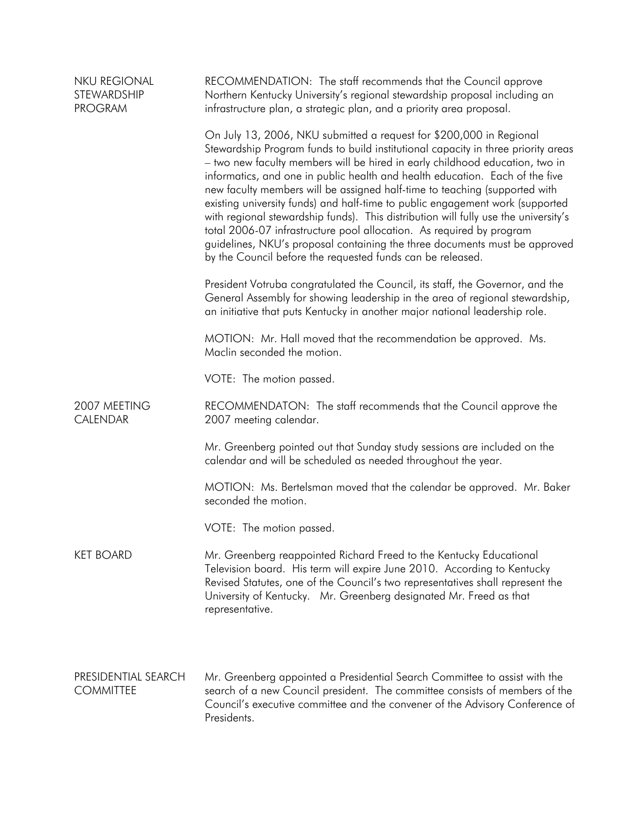| <b>NKU REGIONAL</b><br>STEWARDSHIP<br><b>PROGRAM</b> | RECOMMENDATION: The staff recommends that the Council approve<br>Northern Kentucky University's regional stewardship proposal including an<br>infrastructure plan, a strategic plan, and a priority area proposal.                                                                                                                                                                                                                                                                                                                                                                                                                                                                                                                                                                                 |
|------------------------------------------------------|----------------------------------------------------------------------------------------------------------------------------------------------------------------------------------------------------------------------------------------------------------------------------------------------------------------------------------------------------------------------------------------------------------------------------------------------------------------------------------------------------------------------------------------------------------------------------------------------------------------------------------------------------------------------------------------------------------------------------------------------------------------------------------------------------|
|                                                      | On July 13, 2006, NKU submitted a request for \$200,000 in Regional<br>Stewardship Program funds to build institutional capacity in three priority areas<br>- two new faculty members will be hired in early childhood education, two in<br>informatics, and one in public health and health education. Each of the five<br>new faculty members will be assigned half-time to teaching (supported with<br>existing university funds) and half-time to public engagement work (supported<br>with regional stewardship funds). This distribution will fully use the university's<br>total 2006-07 infrastructure pool allocation. As required by program<br>guidelines, NKU's proposal containing the three documents must be approved<br>by the Council before the requested funds can be released. |
|                                                      | President Votruba congratulated the Council, its staff, the Governor, and the<br>General Assembly for showing leadership in the area of regional stewardship,<br>an initiative that puts Kentucky in another major national leadership role.                                                                                                                                                                                                                                                                                                                                                                                                                                                                                                                                                       |
|                                                      | MOTION: Mr. Hall moved that the recommendation be approved. Ms.<br>Maclin seconded the motion.                                                                                                                                                                                                                                                                                                                                                                                                                                                                                                                                                                                                                                                                                                     |
|                                                      | VOTE: The motion passed.                                                                                                                                                                                                                                                                                                                                                                                                                                                                                                                                                                                                                                                                                                                                                                           |
| 2007 MEETING<br>CALENDAR                             | RECOMMENDATON: The staff recommends that the Council approve the<br>2007 meeting calendar.                                                                                                                                                                                                                                                                                                                                                                                                                                                                                                                                                                                                                                                                                                         |
|                                                      | Mr. Greenberg pointed out that Sunday study sessions are included on the<br>calendar and will be scheduled as needed throughout the year.                                                                                                                                                                                                                                                                                                                                                                                                                                                                                                                                                                                                                                                          |
|                                                      | MOTION: Ms. Bertelsman moved that the calendar be approved. Mr. Baker<br>seconded the motion.                                                                                                                                                                                                                                                                                                                                                                                                                                                                                                                                                                                                                                                                                                      |
|                                                      | VOTE: The motion passed.                                                                                                                                                                                                                                                                                                                                                                                                                                                                                                                                                                                                                                                                                                                                                                           |
| <b>KET BOARD</b>                                     | Mr. Greenberg reappointed Richard Freed to the Kentucky Educational<br>Television board. His term will expire June 2010. According to Kentucky<br>Revised Statutes, one of the Council's two representatives shall represent the<br>University of Kentucky. Mr. Greenberg designated Mr. Freed as that<br>representative.                                                                                                                                                                                                                                                                                                                                                                                                                                                                          |
| PRESIDENTIAL SEARCH<br><b>COMMITTEE</b>              | Mr. Greenberg appointed a Presidential Search Committee to assist with the<br>search of a new Council president. The committee consists of members of the<br>Council's executive committee and the convener of the Advisory Conference of<br>Presidents.                                                                                                                                                                                                                                                                                                                                                                                                                                                                                                                                           |